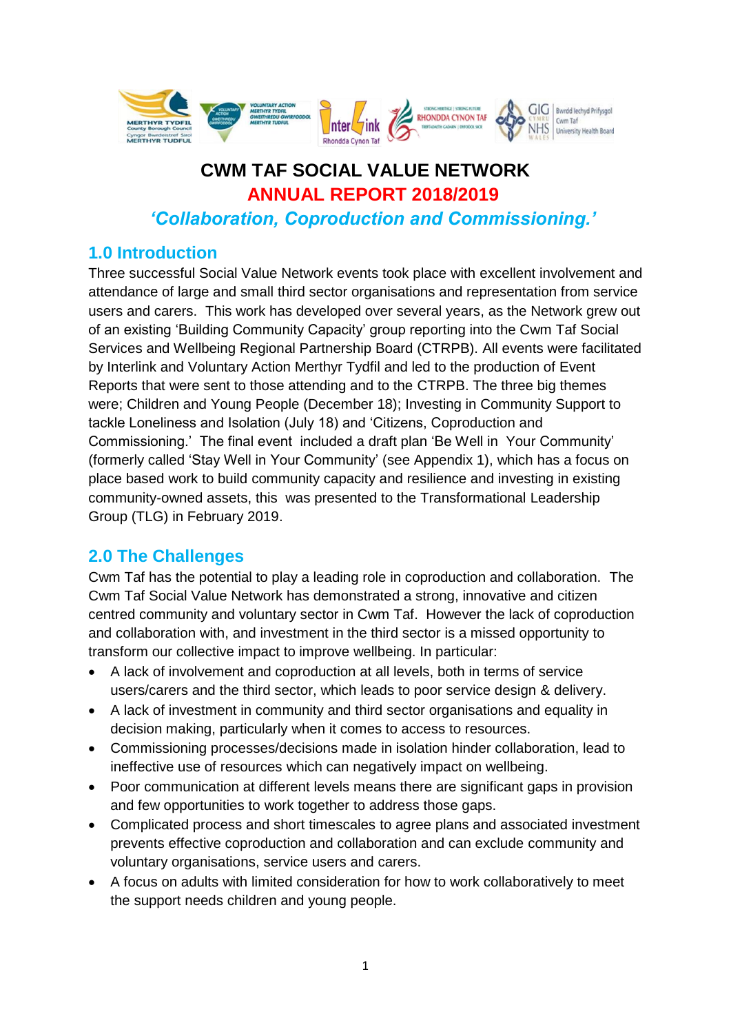

# **CWM TAF SOCIAL VALUE NETWORK ANNUAL REPORT 2018/2019**

*'Collaboration, Coproduction and Commissioning.'*

## **1.0 Introduction**

Three successful Social Value Network events took place with excellent involvement and attendance of large and small third sector organisations and representation from service users and carers. This work has developed over several years, as the Network grew out of an existing 'Building Community Capacity' group reporting into the Cwm Taf Social Services and Wellbeing Regional Partnership Board (CTRPB). All events were facilitated by Interlink and Voluntary Action Merthyr Tydfil and led to the production of Event Reports that were sent to those attending and to the CTRPB. The three big themes were; Children and Young People (December 18); Investing in Community Support to tackle Loneliness and Isolation (July 18) and 'Citizens, Coproduction and Commissioning.' The final event included a draft plan 'Be Well in Your Community' (formerly called 'Stay Well in Your Community' (see Appendix 1), which has a focus on place based work to build community capacity and resilience and investing in existing community-owned assets, this was presented to the Transformational Leadership Group (TLG) in February 2019.

## **2.0 The Challenges**

Cwm Taf has the potential to play a leading role in coproduction and collaboration. The Cwm Taf Social Value Network has demonstrated a strong, innovative and citizen centred community and voluntary sector in Cwm Taf. However the lack of coproduction and collaboration with, and investment in the third sector is a missed opportunity to transform our collective impact to improve wellbeing. In particular:

- A lack of involvement and coproduction at all levels, both in terms of service users/carers and the third sector, which leads to poor service design & delivery.
- A lack of investment in community and third sector organisations and equality in decision making, particularly when it comes to access to resources.
- Commissioning processes/decisions made in isolation hinder collaboration, lead to ineffective use of resources which can negatively impact on wellbeing.
- Poor communication at different levels means there are significant gaps in provision and few opportunities to work together to address those gaps.
- Complicated process and short timescales to agree plans and associated investment prevents effective coproduction and collaboration and can exclude community and voluntary organisations, service users and carers.
- A focus on adults with limited consideration for how to work collaboratively to meet the support needs children and young people.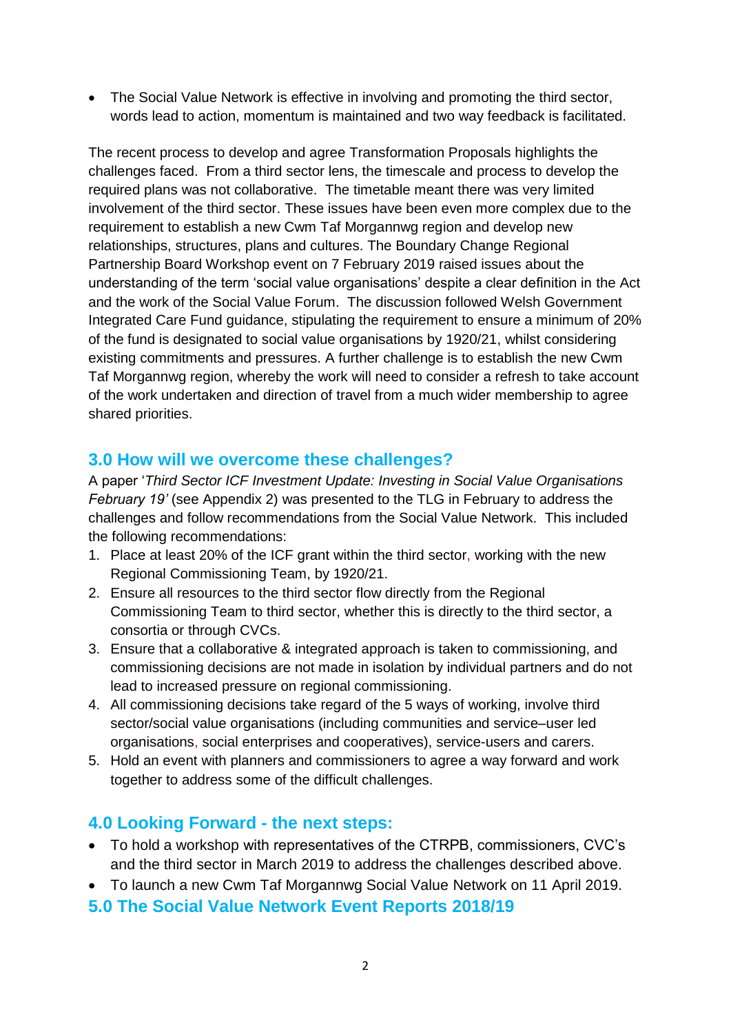• The Social Value Network is effective in involving and promoting the third sector, words lead to action, momentum is maintained and two way feedback is facilitated.

The recent process to develop and agree Transformation Proposals highlights the challenges faced. From a third sector lens, the timescale and process to develop the required plans was not collaborative. The timetable meant there was very limited involvement of the third sector. These issues have been even more complex due to the requirement to establish a new Cwm Taf Morgannwg region and develop new relationships, structures, plans and cultures. The Boundary Change Regional Partnership Board Workshop event on 7 February 2019 raised issues about the understanding of the term 'social value organisations' despite a clear definition in the Act and the work of the Social Value Forum. The discussion followed Welsh Government Integrated Care Fund guidance, stipulating the requirement to ensure a minimum of 20% of the fund is designated to social value organisations by 1920/21, whilst considering existing commitments and pressures. A further challenge is to establish the new Cwm Taf Morgannwg region, whereby the work will need to consider a refresh to take account of the work undertaken and direction of travel from a much wider membership to agree shared priorities.

## **3.0 How will we overcome these challenges?**

A paper '*Third Sector ICF Investment Update: Investing in Social Value Organisations February 19'* (see Appendix 2) was presented to the TLG in February to address the challenges and follow recommendations from the Social Value Network. This included the following recommendations:

- 1. Place at least 20% of the ICF grant within the third sector, working with the new Regional Commissioning Team, by 1920/21.
- 2. Ensure all resources to the third sector flow directly from the Regional Commissioning Team to third sector, whether this is directly to the third sector, a consortia or through CVCs.
- 3. Ensure that a collaborative & integrated approach is taken to commissioning, and commissioning decisions are not made in isolation by individual partners and do not lead to increased pressure on regional commissioning.
- 4. All commissioning decisions take regard of the 5 ways of working, involve third sector/social value organisations (including communities and service–user led organisations, social enterprises and cooperatives), service-users and carers.
- 5. Hold an event with planners and commissioners to agree a way forward and work together to address some of the difficult challenges.

## **4.0 Looking Forward - the next steps:**

- To hold a workshop with representatives of the CTRPB, commissioners, CVC's and the third sector in March 2019 to address the challenges described above.
- To launch a new Cwm Taf Morgannwg Social Value Network on 11 April 2019.

### **5.0 The Social Value Network Event Reports 2018/19**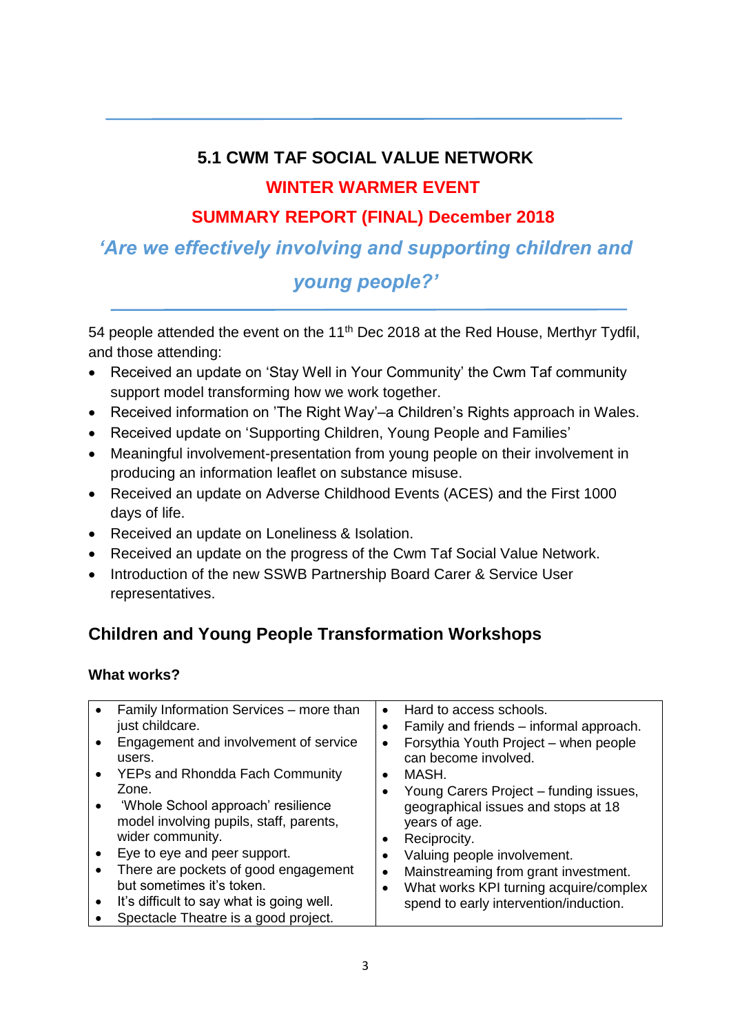# **5.1 CWM TAF SOCIAL VALUE NETWORK WINTER WARMER EVENT**

## **SUMMARY REPORT (FINAL) December 2018**

# *'Are we effectively involving and supporting children and young people?'*

54 people attended the event on the 11<sup>th</sup> Dec 2018 at the Red House, Merthyr Tydfil, and those attending:

- Received an update on 'Stay Well in Your Community' the Cwm Taf community support model transforming how we work together.
- Received information on 'The Right Way'–a Children's Rights approach in Wales.
- Received update on 'Supporting Children, Young People and Families'
- Meaningful involvement-presentation from young people on their involvement in producing an information leaflet on substance misuse.
- Received an update on Adverse Childhood Events (ACES) and the First 1000 days of life.
- Received an update on Loneliness & Isolation.
- Received an update on the progress of the Cwm Taf Social Value Network.
- Introduction of the new SSWB Partnership Board Carer & Service User representatives.

# **Children and Young People Transformation Workshops**

### **What works?**

| Family Information Services – more than<br>just childcare.                                        | $\bullet$ | Hard to access schools.<br>Family and friends – informal approach.   |
|---------------------------------------------------------------------------------------------------|-----------|----------------------------------------------------------------------|
| Engagement and involvement of service<br>users.                                                   |           | Forsythia Youth Project - when people<br>can become involved.        |
| YEPs and Rhondda Fach Community                                                                   |           | MASH.                                                                |
| Zone.                                                                                             |           | Young Carers Project – funding issues,                               |
| 'Whole School approach' resilience<br>model involving pupils, staff, parents,<br>wider community. |           | geographical issues and stops at 18<br>years of age.<br>Reciprocity. |
| Eye to eye and peer support.                                                                      |           | Valuing people involvement.                                          |
| There are pockets of good engagement                                                              |           | Mainstreaming from grant investment.                                 |
| but sometimes it's token.                                                                         |           | What works KPI turning acquire/complex                               |
| It's difficult to say what is going well.                                                         |           | spend to early intervention/induction.                               |
| Spectacle Theatre is a good project.                                                              |           |                                                                      |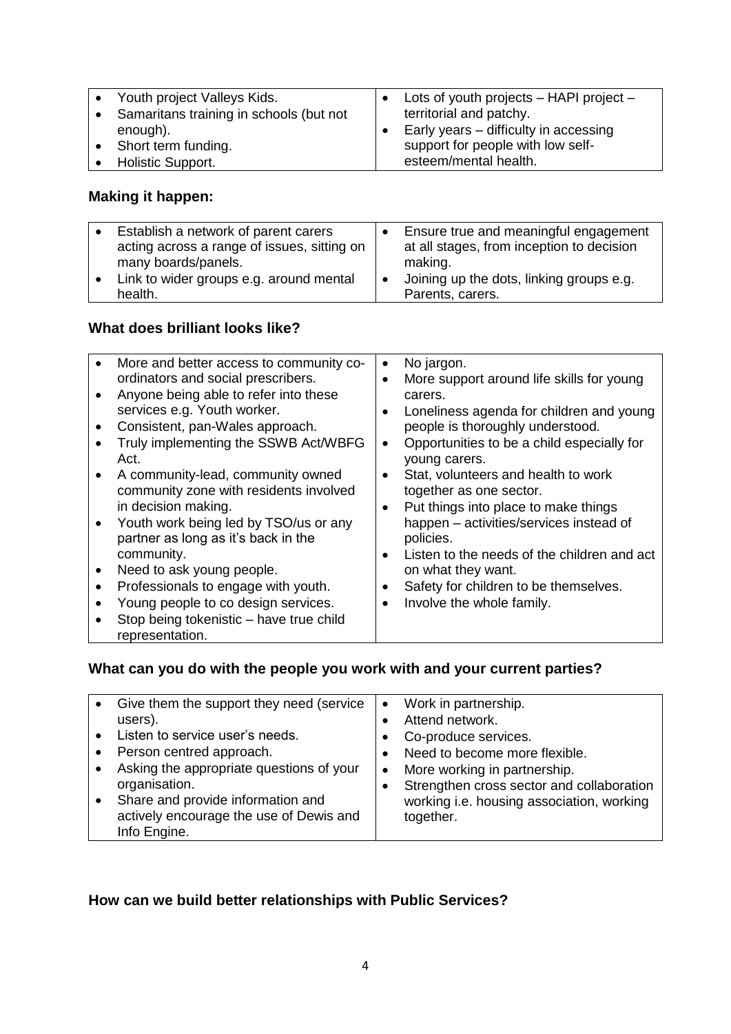| Youth project Valleys Kids.             | Lots of youth projects $-$ HAPI project $-$ |
|-----------------------------------------|---------------------------------------------|
| Samaritans training in schools (but not | territorial and patchy.                     |
| enough).                                | Early years – difficulty in accessing       |
| Short term funding.                     | support for people with low self-           |
| Holistic Support.                       | esteem/mental health.                       |

### **Making it happen:**

|           | Establish a network of parent carers<br>acting across a range of issues, sitting on | Ensure true and meaningful engagement<br>at all stages, from inception to decision |
|-----------|-------------------------------------------------------------------------------------|------------------------------------------------------------------------------------|
|           | many boards/panels.                                                                 | making.                                                                            |
| $\bullet$ | Link to wider groups e.g. around mental                                             | Joining up the dots, linking groups e.g.                                           |
|           | health.                                                                             | Parents, carers.                                                                   |

### **What does brilliant looks like?**

| More and better access to community co- | ٠         | No jargon.                                  |
|-----------------------------------------|-----------|---------------------------------------------|
| ordinators and social prescribers.      | $\bullet$ | More support around life skills for young   |
| Anyone being able to refer into these   |           | carers.                                     |
| services e.g. Youth worker.             | $\bullet$ | Loneliness agenda for children and young    |
| Consistent, pan-Wales approach.         |           | people is thoroughly understood.            |
| Truly implementing the SSWB Act/WBFG    | $\bullet$ | Opportunities to be a child especially for  |
| Act.                                    |           | young carers.                               |
| A community-lead, community owned       | $\bullet$ | Stat, volunteers and health to work         |
| community zone with residents involved  |           | together as one sector.                     |
| in decision making.                     | $\bullet$ | Put things into place to make things        |
| Youth work being led by TSO/us or any   |           | happen - activities/services instead of     |
| partner as long as it's back in the     |           | policies.                                   |
| community.                              | $\bullet$ | Listen to the needs of the children and act |
| Need to ask young people.               |           | on what they want.                          |
| Professionals to engage with youth.     | ٠         | Safety for children to be themselves.       |
|                                         |           |                                             |
| Young people to co design services.     | $\bullet$ | Involve the whole family.                   |
| Stop being tokenistic - have true child |           |                                             |
| representation.                         |           |                                             |

## **What can you do with the people you work with and your current parties?**

| Give them the support they need (service | $\bullet$ | Work in partnership.                      |
|------------------------------------------|-----------|-------------------------------------------|
| users).                                  |           | Attend network.                           |
| Listen to service user's needs.          |           | Co-produce services.                      |
| Person centred approach.                 |           | Need to become more flexible.             |
| Asking the appropriate questions of your | $\bullet$ | More working in partnership.              |
| organisation.                            |           | Strengthen cross sector and collaboration |
| Share and provide information and        |           | working i.e. housing association, working |
| actively encourage the use of Dewis and  |           | together.                                 |
| Info Engine.                             |           |                                           |

## **How can we build better relationships with Public Services?**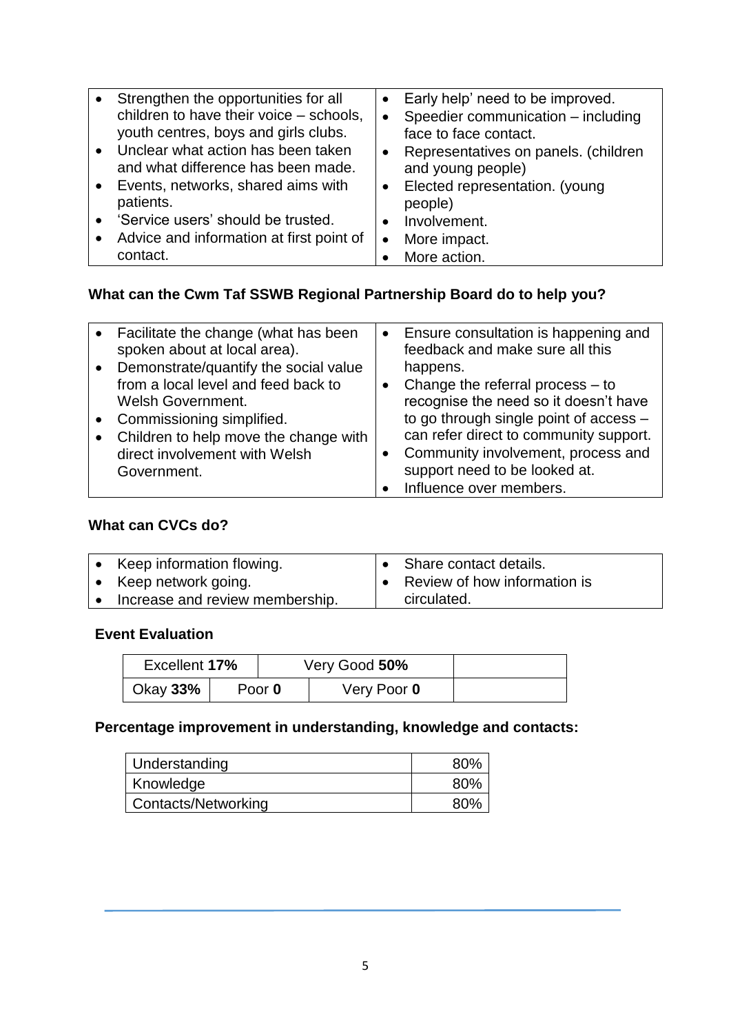| $\bullet$ | Strengthen the opportunities for all<br>children to have their voice - schools,<br>youth centres, boys and girls clubs. | $\bullet$<br>٠ | Early help' need to be improved.<br>Speedier communication - including<br>face to face contact. |
|-----------|-------------------------------------------------------------------------------------------------------------------------|----------------|-------------------------------------------------------------------------------------------------|
|           | • Unclear what action has been taken<br>and what difference has been made.                                              | $\bullet$      | Representatives on panels. (children<br>and young people)                                       |
|           | • Events, networks, shared aims with<br>patients.                                                                       | $\bullet$      | Elected representation. (young<br>people)                                                       |
|           | • 'Service users' should be trusted.                                                                                    | $\bullet$      | Involvement.                                                                                    |
| $\bullet$ | Advice and information at first point of                                                                                |                | More impact.                                                                                    |
|           | contact.                                                                                                                |                | More action.                                                                                    |

# **What can the Cwm Taf SSWB Regional Partnership Board do to help you?**

|           | • Facilitate the change (what has been  | • Ensure consultation is happening and |
|-----------|-----------------------------------------|----------------------------------------|
|           | spoken about at local area).            | feedback and make sure all this        |
|           | • Demonstrate/quantify the social value | happens.                               |
|           | from a local level and feed back to     | Change the referral process $-$ to     |
|           | <b>Welsh Government.</b>                | recognise the need so it doesn't have  |
| $\bullet$ | Commissioning simplified.               | to go through single point of access - |
| $\bullet$ | Children to help move the change with   | can refer direct to community support. |
|           | direct involvement with Welsh           | Community involvement, process and     |
|           | Government.                             | support need to be looked at.          |
|           |                                         | Influence over members.                |

# **What can CVCs do?**

| Keep information flowing.       | • Share contact details.       |
|---------------------------------|--------------------------------|
| Keep network going.             | • Review of how information is |
| Increase and review membership. | circulated.                    |

### **Event Evaluation**

| Excellent 17% |        | Very Good 50% |  |
|---------------|--------|---------------|--|
| Okay 33%      | Poor 0 | Very Poor 0   |  |

## **Percentage improvement in understanding, knowledge and contacts:**

| Understanding       | 80% |
|---------------------|-----|
| Knowledge           | 80% |
| Contacts/Networking | 80% |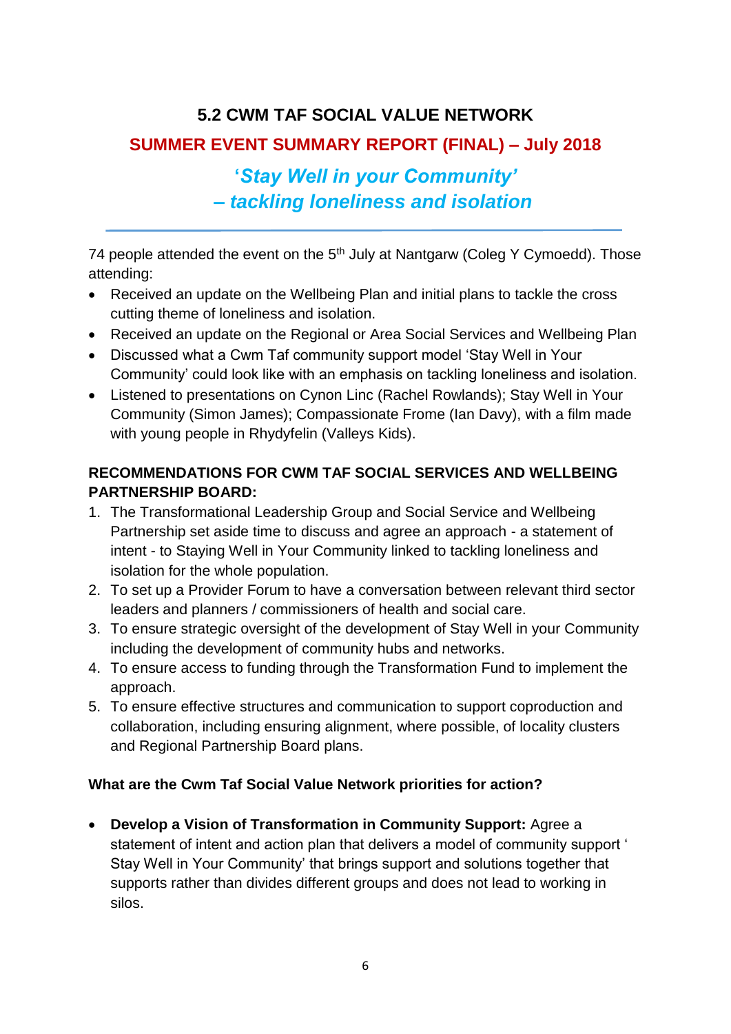## **5.2 CWM TAF SOCIAL VALUE NETWORK**

## **SUMMER EVENT SUMMARY REPORT (FINAL) – July 2018**

# **'***Stay Well in your Community' – tackling loneliness and isolation*

74 people attended the event on the  $5<sup>th</sup>$  July at Nantgarw (Coleg Y Cymoedd). Those attending:

- Received an update on the Wellbeing Plan and initial plans to tackle the cross cutting theme of loneliness and isolation.
- Received an update on the Regional or Area Social Services and Wellbeing Plan
- Discussed what a Cwm Taf community support model 'Stay Well in Your Community' could look like with an emphasis on tackling loneliness and isolation.
- Listened to presentations on Cynon Linc (Rachel Rowlands); Stay Well in Your Community (Simon James); Compassionate Frome (Ian Davy), with a film made with young people in Rhydyfelin (Valleys Kids).

## **RECOMMENDATIONS FOR CWM TAF SOCIAL SERVICES AND WELLBEING PARTNERSHIP BOARD:**

- 1. The Transformational Leadership Group and Social Service and Wellbeing Partnership set aside time to discuss and agree an approach - a statement of intent - to Staying Well in Your Community linked to tackling loneliness and isolation for the whole population.
- 2. To set up a Provider Forum to have a conversation between relevant third sector leaders and planners / commissioners of health and social care.
- 3. To ensure strategic oversight of the development of Stay Well in your Community including the development of community hubs and networks.
- 4. To ensure access to funding through the Transformation Fund to implement the approach.
- 5. To ensure effective structures and communication to support coproduction and collaboration, including ensuring alignment, where possible, of locality clusters and Regional Partnership Board plans.

## **What are the Cwm Taf Social Value Network priorities for action?**

 **Develop a Vision of Transformation in Community Support:** Agree a statement of intent and action plan that delivers a model of community support ' Stay Well in Your Community' that brings support and solutions together that supports rather than divides different groups and does not lead to working in silos.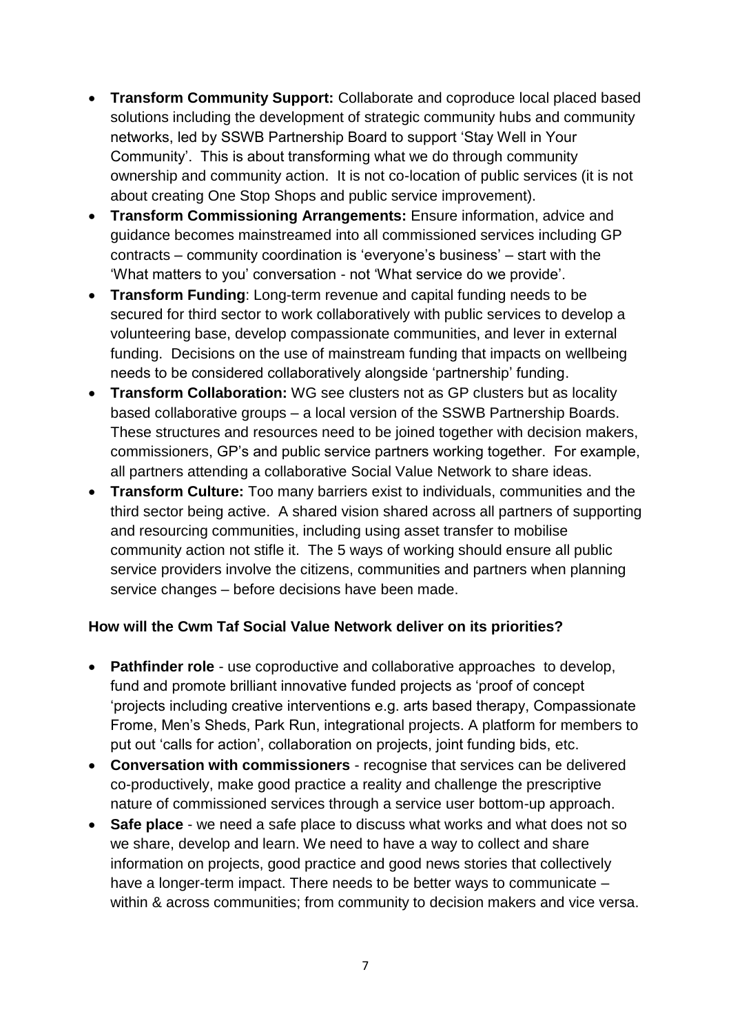- **Transform Community Support:** Collaborate and coproduce local placed based solutions including the development of strategic community hubs and community networks, led by SSWB Partnership Board to support 'Stay Well in Your Community'. This is about transforming what we do through community ownership and community action. It is not co-location of public services (it is not about creating One Stop Shops and public service improvement).
- **Transform Commissioning Arrangements:** Ensure information, advice and guidance becomes mainstreamed into all commissioned services including GP contracts – community coordination is 'everyone's business' – start with the 'What matters to you' conversation - not 'What service do we provide'.
- **Transform Funding**: Long-term revenue and capital funding needs to be secured for third sector to work collaboratively with public services to develop a volunteering base, develop compassionate communities, and lever in external funding. Decisions on the use of mainstream funding that impacts on wellbeing needs to be considered collaboratively alongside 'partnership' funding.
- **Transform Collaboration:** WG see clusters not as GP clusters but as locality based collaborative groups – a local version of the SSWB Partnership Boards. These structures and resources need to be joined together with decision makers, commissioners, GP's and public service partners working together. For example, all partners attending a collaborative Social Value Network to share ideas.
- **Transform Culture:** Too many barriers exist to individuals, communities and the third sector being active. A shared vision shared across all partners of supporting and resourcing communities, including using asset transfer to mobilise community action not stifle it. The 5 ways of working should ensure all public service providers involve the citizens, communities and partners when planning service changes – before decisions have been made.

### **How will the Cwm Taf Social Value Network deliver on its priorities?**

- **Pathfinder role** use coproductive and collaborative approaches to develop, fund and promote brilliant innovative funded projects as 'proof of concept 'projects including creative interventions e.g. arts based therapy, Compassionate Frome, Men's Sheds, Park Run, integrational projects. A platform for members to put out 'calls for action', collaboration on projects, joint funding bids, etc.
- **Conversation with commissioners** recognise that services can be delivered co-productively, make good practice a reality and challenge the prescriptive nature of commissioned services through a service user bottom-up approach.
- **Safe place** we need a safe place to discuss what works and what does not so we share, develop and learn. We need to have a way to collect and share information on projects, good practice and good news stories that collectively have a longer-term impact. There needs to be better ways to communicate – within & across communities; from community to decision makers and vice versa.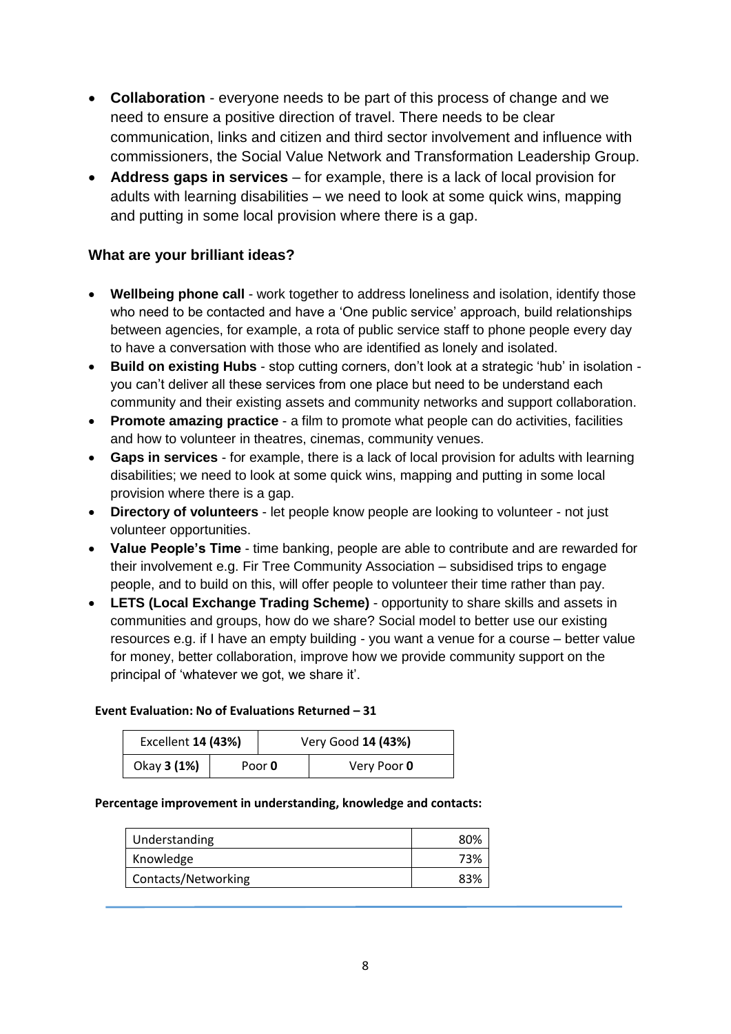- **Collaboration** everyone needs to be part of this process of change and we need to ensure a positive direction of travel. There needs to be clear communication, links and citizen and third sector involvement and influence with commissioners, the Social Value Network and Transformation Leadership Group.
- **Address gaps in services** for example, there is a lack of local provision for adults with learning disabilities – we need to look at some quick wins, mapping and putting in some local provision where there is a gap.

### **What are your brilliant ideas?**

- **Wellbeing phone call** work together to address loneliness and isolation, identify those who need to be contacted and have a 'One public service' approach, build relationships between agencies, for example, a rota of public service staff to phone people every day to have a conversation with those who are identified as lonely and isolated.
- **Build on existing Hubs** stop cutting corners, don't look at a strategic 'hub' in isolation you can't deliver all these services from one place but need to be understand each community and their existing assets and community networks and support collaboration.
- **Promote amazing practice** a film to promote what people can do activities, facilities and how to volunteer in theatres, cinemas, community venues.
- **Gaps in services** for example, there is a lack of local provision for adults with learning disabilities; we need to look at some quick wins, mapping and putting in some local provision where there is a gap.
- **Directory of volunteers** let people know people are looking to volunteer not just volunteer opportunities.
- **Value People's Time**  time banking, people are able to contribute and are rewarded for their involvement e.g. Fir Tree Community Association – subsidised trips to engage people, and to build on this, will offer people to volunteer their time rather than pay.
- **LETS (Local Exchange Trading Scheme)**  opportunity to share skills and assets in communities and groups, how do we share? Social model to better use our existing resources e.g. if I have an empty building - you want a venue for a course – better value for money, better collaboration, improve how we provide community support on the principal of 'whatever we got, we share it'.

#### **Event Evaluation: No of Evaluations Returned – 31**

| Excellent 14 (43%) |               | Very Good 14 (43%) |             |  |
|--------------------|---------------|--------------------|-------------|--|
| Okay 3 (1%)        | Poor <b>0</b> |                    | Very Poor 0 |  |

#### **Percentage improvement in understanding, knowledge and contacts:**

| Understanding       | 80% |
|---------------------|-----|
| Knowledge           | 73% |
| Contacts/Networking | 83% |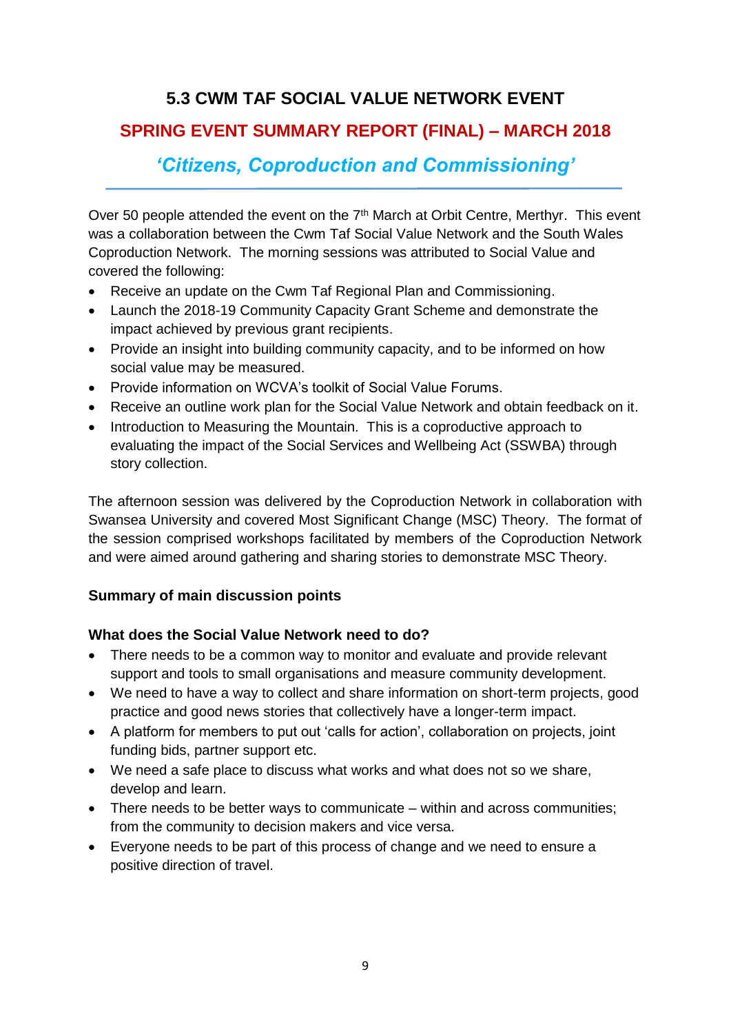## **5.3 CWM TAF SOCIAL VALUE NETWORK EVENT**

## **SPRING EVENT SUMMARY REPORT (FINAL) – MARCH 2018**

*'Citizens, Coproduction and Commissioning'*

Over 50 people attended the event on the 7<sup>th</sup> March at Orbit Centre, Merthyr. This event was a collaboration between the Cwm Taf Social Value Network and the South Wales Coproduction Network. The morning sessions was attributed to Social Value and covered the following:

- Receive an update on the Cwm Taf Regional Plan and Commissioning.
- Launch the 2018-19 Community Capacity Grant Scheme and demonstrate the impact achieved by previous grant recipients.
- Provide an insight into building community capacity, and to be informed on how social value may be measured.
- Provide information on WCVA's toolkit of Social Value Forums.
- Receive an outline work plan for the Social Value Network and obtain feedback on it.
- Introduction to Measuring the Mountain. This is a coproductive approach to evaluating the impact of the Social Services and Wellbeing Act (SSWBA) through story collection.

The afternoon session was delivered by the Coproduction Network in collaboration with Swansea University and covered Most Significant Change (MSC) Theory. The format of the session comprised workshops facilitated by members of the Coproduction Network and were aimed around gathering and sharing stories to demonstrate MSC Theory.

## **Summary of main discussion points**

### **What does the Social Value Network need to do?**

- There needs to be a common way to monitor and evaluate and provide relevant support and tools to small organisations and measure community development.
- We need to have a way to collect and share information on short-term projects, good practice and good news stories that collectively have a longer-term impact.
- A platform for members to put out 'calls for action', collaboration on projects, joint funding bids, partner support etc.
- We need a safe place to discuss what works and what does not so we share, develop and learn.
- There needs to be better ways to communicate within and across communities; from the community to decision makers and vice versa.
- Everyone needs to be part of this process of change and we need to ensure a positive direction of travel.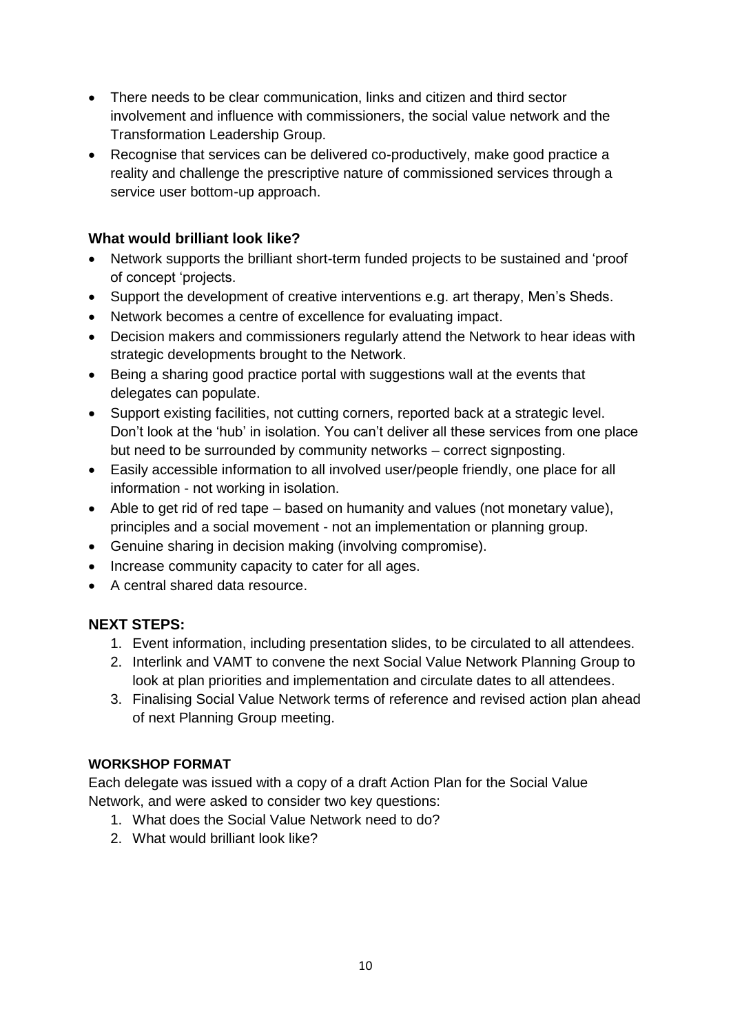- There needs to be clear communication, links and citizen and third sector involvement and influence with commissioners, the social value network and the Transformation Leadership Group.
- Recognise that services can be delivered co-productively, make good practice a reality and challenge the prescriptive nature of commissioned services through a service user bottom-up approach.

### **What would brilliant look like?**

- Network supports the brilliant short-term funded projects to be sustained and 'proof of concept 'projects.
- Support the development of creative interventions e.g. art therapy, Men's Sheds.
- Network becomes a centre of excellence for evaluating impact.
- Decision makers and commissioners regularly attend the Network to hear ideas with strategic developments brought to the Network.
- Being a sharing good practice portal with suggestions wall at the events that delegates can populate.
- Support existing facilities, not cutting corners, reported back at a strategic level. Don't look at the 'hub' in isolation. You can't deliver all these services from one place but need to be surrounded by community networks – correct signposting.
- Easily accessible information to all involved user/people friendly, one place for all information - not working in isolation.
- Able to get rid of red tape based on humanity and values (not monetary value), principles and a social movement - not an implementation or planning group.
- Genuine sharing in decision making (involving compromise).
- Increase community capacity to cater for all ages.
- A central shared data resource.

## **NEXT STEPS:**

- 1. Event information, including presentation slides, to be circulated to all attendees.
- 2. Interlink and VAMT to convene the next Social Value Network Planning Group to look at plan priorities and implementation and circulate dates to all attendees.
- 3. Finalising Social Value Network terms of reference and revised action plan ahead of next Planning Group meeting.

### **WORKSHOP FORMAT**

Each delegate was issued with a copy of a draft Action Plan for the Social Value Network, and were asked to consider two key questions:

- 1. What does the Social Value Network need to do?
- 2. What would brilliant look like?